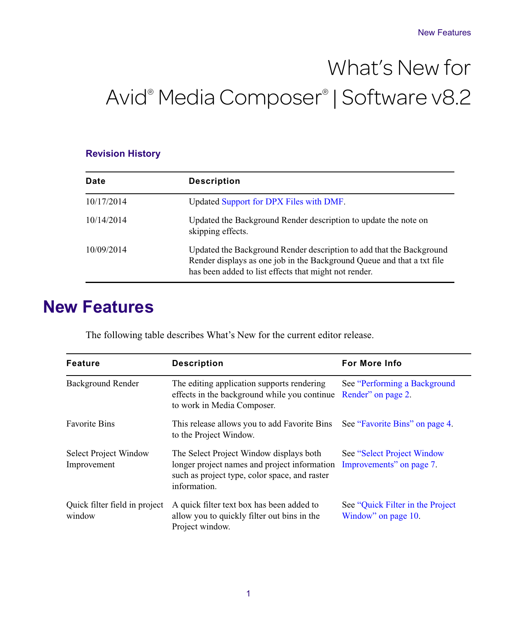# What's New for Avid® Media Composer® | Software v8.2

## **Revision History**

| Date       | <b>Description</b>                                                                                                                                                                                      |
|------------|---------------------------------------------------------------------------------------------------------------------------------------------------------------------------------------------------------|
| 10/17/2014 | Updated Support for DPX Files with DMF.                                                                                                                                                                 |
| 10/14/2014 | Updated the Background Render description to update the note on<br>skipping effects.                                                                                                                    |
| 10/09/2014 | Updated the Background Render description to add that the Background<br>Render displays as one job in the Background Queue and that a txt file<br>has been added to list effects that might not render. |

## **New Features**

The following table describes What's New for the current editor release.

| Feature                                 | <b>Description</b>                                                                                                                                       | <b>For More Info</b>                                     |
|-----------------------------------------|----------------------------------------------------------------------------------------------------------------------------------------------------------|----------------------------------------------------------|
| <b>Background Render</b>                | The editing application supports rendering<br>effects in the background while you continue<br>to work in Media Composer.                                 | See "Performing a Background<br>Render" on page 2.       |
| <b>Favorite Bins</b>                    | This release allows you to add Favorite Bins See "Favorite Bins" on page 4.<br>to the Project Window.                                                    |                                                          |
| Select Project Window<br>Improvement    | The Select Project Window displays both<br>longer project names and project information<br>such as project type, color space, and raster<br>information. | See "Select Project Window"<br>Improvements" on page 7.  |
| Quick filter field in project<br>window | A quick filter text box has been added to<br>allow you to quickly filter out bins in the<br>Project window.                                              | See "Quick Filter in the Project"<br>Window" on page 10. |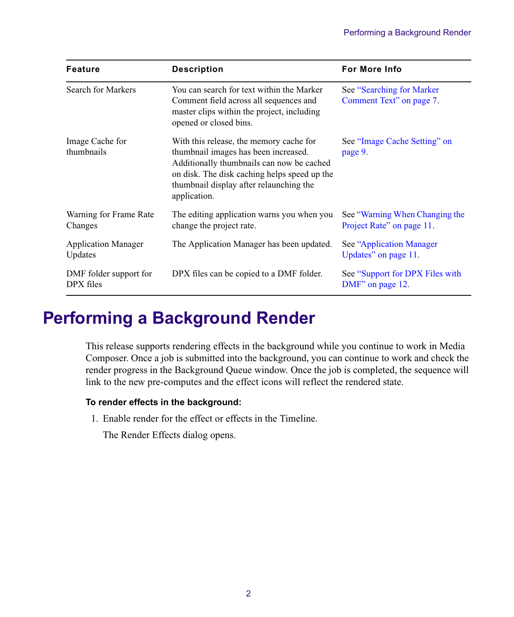| <b>Feature</b>                        | <b>Description</b>                                                                                                                                                                                                                      | <b>For More Info</b>                                        |
|---------------------------------------|-----------------------------------------------------------------------------------------------------------------------------------------------------------------------------------------------------------------------------------------|-------------------------------------------------------------|
| Search for Markers                    | You can search for text within the Marker<br>Comment field across all sequences and<br>master clips within the project, including<br>opened or closed bins.                                                                             | See "Searching for Marker"<br>Comment Text" on page 7.      |
| Image Cache for<br>thumbnails         | With this release, the memory cache for<br>thumbnail images has been increased.<br>Additionally thumbnails can now be cached<br>on disk. The disk caching helps speed up the<br>thumbnail display after relaunching the<br>application. | See "Image Cache Setting" on<br>page 9.                     |
| Warning for Frame Rate<br>Changes     | The editing application warns you when you<br>change the project rate.                                                                                                                                                                  | See "Warning When Changing the<br>Project Rate" on page 11. |
| <b>Application Manager</b><br>Updates | The Application Manager has been updated.                                                                                                                                                                                               | See "Application Manager<br>Updates" on page 11.            |
| DMF folder support for<br>DPX files   | DPX files can be copied to a DMF folder.                                                                                                                                                                                                | See "Support for DPX Files with<br>DMF" on page 12.         |

## <span id="page-1-0"></span>**Performing a Background Render**

This release supports rendering effects in the background while you continue to work in Media Composer. Once a job is submitted into the background, you can continue to work and check the render progress in the Background Queue window. Once the job is completed, the sequence will link to the new pre-computes and the effect icons will reflect the rendered state.

### **To render effects in the background:**

1. Enable render for the effect or effects in the Timeline.

The Render Effects dialog opens.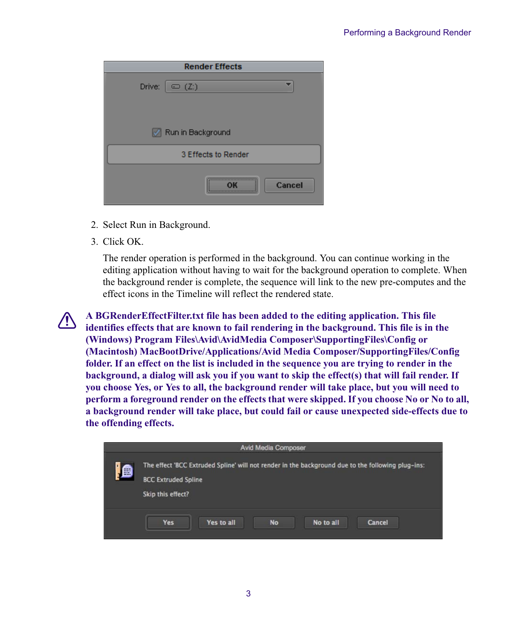| <b>Render Effects</b>   |
|-------------------------|
| $\equiv$ (Z:)<br>Drive: |
| Run in Background       |
| 3 Effects to Render     |
| <b>Cancel</b><br>ш      |

- 2. Select Run in Background.
- 3. Click OK.

The render operation is performed in the background. You can continue working in the editing application without having to wait for the background operation to complete. When the background render is complete, the sequence will link to the new pre-computes and the effect icons in the Timeline will reflect the rendered state.

c **A BGRenderEffectFilter.txt file has been added to the editing application. This file identifies effects that are known to fail rendering in the background. This file is in the (Windows) Program Files\Avid\AvidMedia Composer\SupportingFiles\Config or (Macintosh) MacBootDrive/Applications/Avid Media Composer/SupportingFiles/Config folder. If an effect on the list is included in the sequence you are trying to render in the background, a dialog will ask you if you want to skip the effect(s) that will fail render. If you choose Yes, or Yes to all, the background render will take place, but you will need to perform a foreground render on the effects that were skipped. If you choose No or No to all, a background render will take place, but could fail or cause unexpected side-effects due to the offending effects.** 

|           | <b>Avid Media Composer</b>                                                                                                                           |
|-----------|------------------------------------------------------------------------------------------------------------------------------------------------------|
| $\bullet$ | The effect 'BCC Extruded Spline' will not render in the background due to the following plug-ins:<br><b>BCC Extruded Spline</b><br>Skip this effect? |
|           | <b>No</b><br><b>Yes to all</b><br>Cancel<br><b>Yes</b><br>No to all                                                                                  |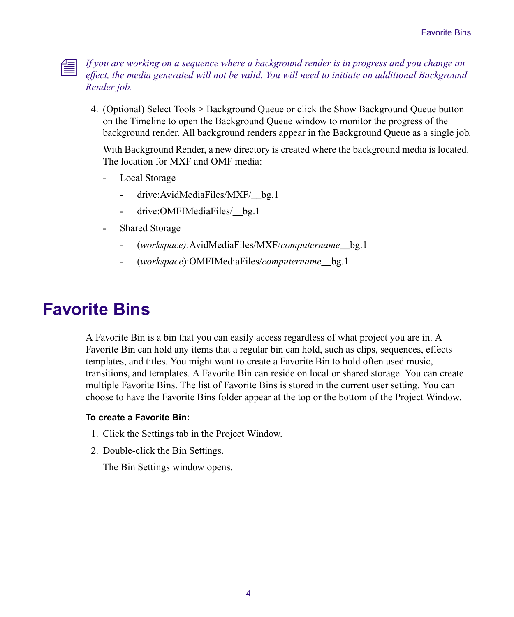n *If you are working on a sequence where a background render is in progress and you change an effect, the media generated will not be valid. You will need to initiate an additional Background Render job.*

4. (Optional) Select Tools > Background Queue or click the Show Background Queue button on the Timeline to open the Background Queue window to monitor the progress of the background render. All background renders appear in the Background Queue as a single job.

With Background Render, a new directory is created where the background media is located. The location for MXF and OMF media:

- Local Storage
	- drive:AvidMediaFiles/MXF/ bg.1
	- drive:OMFIMediaFiles/\_bg.1
- Shared Storage
	- (*workspace)*:AvidMediaFiles/MXF/*computername*\_\_bg.1
	- (*workspace*):OMFIMediaFiles/*computername*\_\_bg.1

## <span id="page-3-0"></span>**Favorite Bins**

A Favorite Bin is a bin that you can easily access regardless of what project you are in. A Favorite Bin can hold any items that a regular bin can hold, such as clips, sequences, effects templates, and titles. You might want to create a Favorite Bin to hold often used music, transitions, and templates. A Favorite Bin can reside on local or shared storage. You can create multiple Favorite Bins. The list of Favorite Bins is stored in the current user setting. You can choose to have the Favorite Bins folder appear at the top or the bottom of the Project Window.

### **To create a Favorite Bin:**

- 1. Click the Settings tab in the Project Window.
- 2. Double-click the Bin Settings.

The Bin Settings window opens.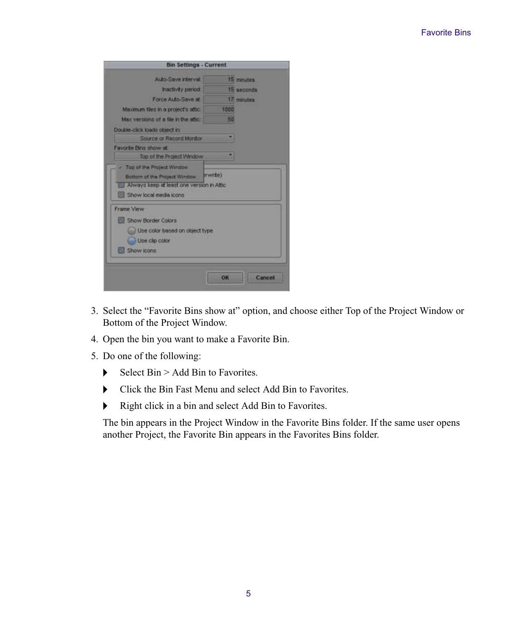|                                                                                                                                     | <b>Bin Settings - Current</b> |            |
|-------------------------------------------------------------------------------------------------------------------------------------|-------------------------------|------------|
| Auto-Save interval                                                                                                                  |                               | 15 minutes |
| Inactivity period:                                                                                                                  |                               | 15 seconds |
| Force Auto-Save at:                                                                                                                 |                               | 17 minutes |
| Maximum files in a project's attic:                                                                                                 | 1000                          |            |
| Max versions of a file in the attic:                                                                                                | 50                            |            |
| Double-click loads object in                                                                                                        |                               |            |
| Source or Record Montor.                                                                                                            |                               |            |
| Favorite Bins show at:                                                                                                              |                               |            |
| Top of the Project Window                                                                                                           |                               |            |
| - Top of the Project Window<br>Bottom of the Project Window<br>Always keep at least one version in Attic.<br>Show local media icons | trwrite)                      |            |
| Frame View                                                                                                                          |                               |            |
| <b>Show Border Colors</b>                                                                                                           |                               |            |
| Use color based on object type                                                                                                      |                               |            |
|                                                                                                                                     |                               |            |
| Use clip color                                                                                                                      |                               |            |
|                                                                                                                                     |                               |            |

- 3. Select the "Favorite Bins show at" option, and choose either Top of the Project Window or Bottom of the Project Window.
- 4. Open the bin you want to make a Favorite Bin.
- 5. Do one of the following:
	- $\blacktriangleright$  Select Bin > Add Bin to Favorites.
	- $\blacktriangleright$  Click the Bin Fast Menu and select Add Bin to Favorites.
	- Right click in a bin and select Add Bin to Favorites.

The bin appears in the Project Window in the Favorite Bins folder. If the same user opens another Project, the Favorite Bin appears in the Favorites Bins folder.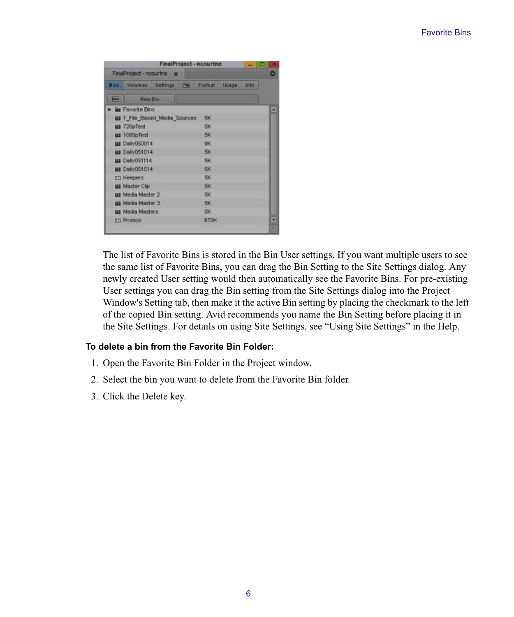|             |                                      |  | FinalProject - ncourtne |       |   |
|-------------|--------------------------------------|--|-------------------------|-------|---|
|             | FinalProject - ncourtne x            |  |                         |       |   |
| <b>Bins</b> | Volumes Settings [                   |  | Format Urage            | Info: |   |
| - 1         | New Bin                              |  |                         |       |   |
|             | <b>Bu</b> Favorite Bins              |  |                         |       | ۵ |
|             | <b>MI 1 File Based Media Sources</b> |  | 5K                      |       |   |
|             | <b>III</b> 720pTest                  |  | 5К                      |       |   |
|             | <b>MI</b> 1080pTest                  |  | 5K                      |       |   |
|             | <b>MI Daily050914</b>                |  | SK <sup></sup>          |       |   |
|             | <b>MI Daily051014</b>                |  | 5K                      |       |   |
|             | <b>MI Daily051114</b>                |  | SK                      |       |   |
|             | <b>MI Daily051514</b>                |  | <b>SK</b>               |       |   |
|             | <b>m</b> Keepers                     |  | SK.                     |       |   |
|             | <b>Master Clp</b>                    |  | <b>SK</b>               |       |   |
|             | <b>WI</b> Media Master 2             |  | 5K                      |       |   |
|             | <b>Lui Media Master 3</b>            |  | 5K                      |       |   |
|             | <b>UI</b> Media Masters              |  | <b>SK</b>               |       |   |
|             | <b>Promos</b>                        |  | <b>670K</b>             |       |   |
|             |                                      |  |                         |       | ۰ |

The list of Favorite Bins is stored in the Bin User settings. If you want multiple users to see the same list of Favorite Bins, you can drag the Bin Setting to the Site Settings dialog. Any newly created User setting would then automatically see the Favorite Bins. For pre-existing User settings you can drag the Bin setting from the Site Settings dialog into the Project Window's Setting tab, then make it the active Bin setting by placing the checkmark to the left of the copied Bin setting. Avid recommends you name the Bin Setting before placing it in the Site Settings. For details on using Site Settings, see "Using Site Settings" in the Help.

## **To delete a bin from the Favorite Bin Folder:**

- 1. Open the Favorite Bin Folder in the Project window.
- 2. Select the bin you want to delete from the Favorite Bin folder.
- 3. Click the Delete key.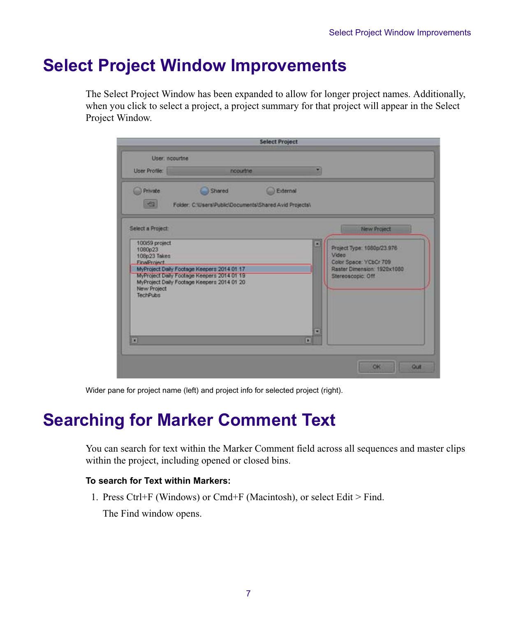## <span id="page-6-0"></span>**Select Project Window Improvements**

The Select Project Window has been expanded to allow for longer project names. Additionally, when you click to select a project, a project summary for that project will appear in the Select Project Window.

| User, ncourtne.<br>User Profile:<br>۰<br>noourthe<br>Private<br>Shared<br>External<br>ø<br>Folder: C:Wsers\Public\Documents\Shared Avid Projects\                                                                                                                        |                                                                                     |
|--------------------------------------------------------------------------------------------------------------------------------------------------------------------------------------------------------------------------------------------------------------------------|-------------------------------------------------------------------------------------|
|                                                                                                                                                                                                                                                                          |                                                                                     |
|                                                                                                                                                                                                                                                                          |                                                                                     |
|                                                                                                                                                                                                                                                                          |                                                                                     |
| Select a Project                                                                                                                                                                                                                                                         |                                                                                     |
|                                                                                                                                                                                                                                                                          | <b>New Project</b>                                                                  |
| 100/59 project<br>1080p23<br>Video<br>108p23 Takes<br>FinalProject<br>MyProject Daily Footage Keepers 2014 01 17<br>MyProject Daily Footage Keepers 2014 01 19<br>Stereoscopic: Off<br>MyProject Daily Footage Keepers 2014 01 20<br><b>New Project</b><br>TechPubs<br>٠ | Project Type: 1080p/23.976<br>Color Space: YCbCr 709<br>Raster Dimension: 1920x1080 |
| ø.<br>n                                                                                                                                                                                                                                                                  | <b>Guit</b><br>OK                                                                   |

Wider pane for project name (left) and project info for selected project (right).

## <span id="page-6-1"></span>**Searching for Marker Comment Text**

You can search for text within the Marker Comment field across all sequences and master clips within the project, including opened or closed bins.

### **To search for Text within Markers:**

1. Press Ctrl+F (Windows) or Cmd+F (Macintosh), or select Edit > Find.

The Find window opens.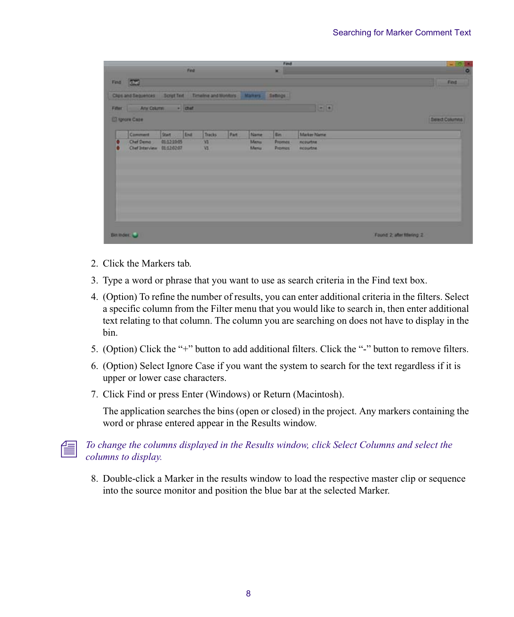|                   |                                                                           |          |                |          |      |                                | <b>Find</b>                     |                                     |                         | $-10.18$             |
|-------------------|---------------------------------------------------------------------------|----------|----------------|----------|------|--------------------------------|---------------------------------|-------------------------------------|-------------------------|----------------------|
|                   |                                                                           |          | <b>Find</b>    |          |      |                                | $\mathbf{x}$                    |                                     |                         | $\circ$              |
|                   | Find The                                                                  |          |                |          |      |                                |                                 |                                     |                         | <b>Find</b>          |
|                   | Clies and Sequences Script Time Timeline and Monitors Stations Electrical |          |                |          |      |                                |                                 |                                     |                         |                      |
|                   | Fifter Any Column +   chat                                                |          |                |          |      |                                |                                 | <b>ICITE</b>                        |                         |                      |
|                   | El Ignore Case                                                            |          |                |          |      |                                |                                 |                                     |                         | <b>Beled Columns</b> |
|                   | Comment                                                                   | Start:   | <b>College</b> | Tracks.  | Part | Name                           | <b>Bin</b>                      | <b>Marker Name</b>                  |                         |                      |
|                   | Chef Demo<br>Chef Interview 01:12:02:07                                   | 01121905 |                | w<br>VI. |      | <b>Manual</b><br><b>Marius</b> | <b>Promes</b><br><b>Promiss</b> | ncourtne<br><i><b>PICOURTIE</b></i> |                         |                      |
|                   |                                                                           |          |                |          |      |                                |                                 |                                     |                         |                      |
|                   |                                                                           |          |                |          |      |                                |                                 |                                     |                         |                      |
|                   |                                                                           |          |                |          |      |                                |                                 |                                     |                         |                      |
|                   |                                                                           |          |                |          |      |                                |                                 |                                     |                         |                      |
| <b>Bit Index:</b> |                                                                           |          |                |          |      |                                |                                 |                                     | Found 2, after Mering 2 |                      |

- 2. Click the Markers tab.
- 3. Type a word or phrase that you want to use as search criteria in the Find text box.
- 4. (Option) To refine the number of results, you can enter additional criteria in the filters. Select a specific column from the Filter menu that you would like to search in, then enter additional text relating to that column. The column you are searching on does not have to display in the bin.
- 5. (Option) Click the "+" button to add additional filters. Click the "-" button to remove filters.
- 6. (Option) Select Ignore Case if you want the system to search for the text regardless if it is upper or lower case characters.
- 7. Click Find or press Enter (Windows) or Return (Macintosh).

The application searches the bins (open or closed) in the project. Any markers containing the word or phrase entered appear in the Results window.



## n *To change the columns displayed in the Results window, click Select Columns and select the columns to display.*

8. Double-click a Marker in the results window to load the respective master clip or sequence into the source monitor and position the blue bar at the selected Marker.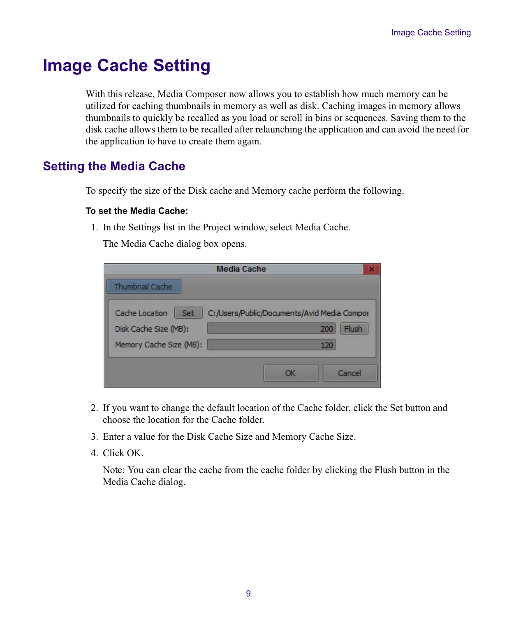## <span id="page-8-0"></span>**Image Cache Setting**

With this release, Media Composer now allows you to establish how much memory can be utilized for caching thumbnails in memory as well as disk. Caching images in memory allows thumbnails to quickly be recalled as you load or scroll in bins or sequences. Saving them to the disk cache allows them to be recalled after relaunching the application and can avoid the need for the application to have to create them again.

## **Setting the Media Cache**

To specify the size of the Disk cache and Memory cache perform the following.

### **To set the Media Cache:**

1. In the Settings list in the Project window, select Media Cache.

The Media Cache dialog box opens.

|                         | <b>Media Cache</b>                          |              |
|-------------------------|---------------------------------------------|--------------|
| <b>Thumbnail Cache</b>  |                                             |              |
| Cache Location<br>Set   | C:/Users/Public/Documents/Avid Media Compos |              |
| Disk Cache Size (MB):   | 200                                         | <b>Flush</b> |
| Memory Cache Size (MB): | 120                                         |              |
|                         |                                             | Cancel       |

- 2. If you want to change the default location of the Cache folder, click the Set button and choose the location for the Cache folder.
- 3. Enter a value for the Disk Cache Size and Memory Cache Size.
- 4. Click OK.

Note: You can clear the cache from the cache folder by clicking the Flush button in the Media Cache dialog.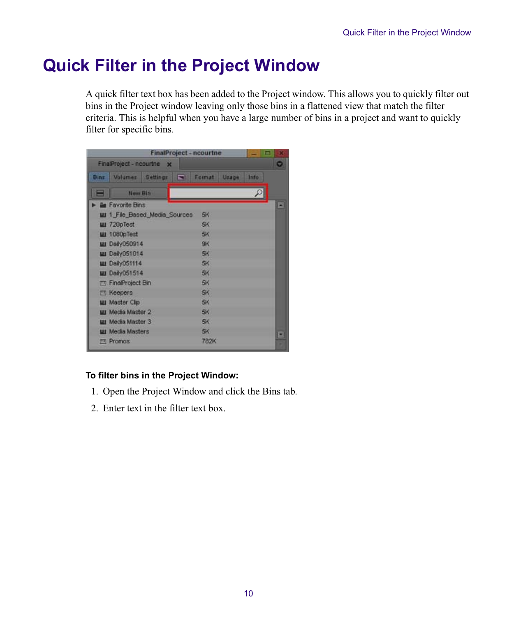## <span id="page-9-0"></span>**Quick Filter in the Project Window**

A quick filter text box has been added to the Project window. This allows you to quickly filter out bins in the Project window leaving only those bins in a flattened view that match the filter criteria. This is helpful when you have a large number of bins in a project and want to quickly filter for specific bins.

|             |                                      |  | <b>FinalProject - ncourtne</b> |              |      |   |
|-------------|--------------------------------------|--|--------------------------------|--------------|------|---|
|             | FinaProject - ncourtne x             |  |                                |              |      |   |
| <b>Bins</b> | Volumes Settings To Format           |  |                                | <b>Usage</b> | Info |   |
| ell         | New Bin                              |  |                                |              |      |   |
|             | <b>Ba</b> Favorite Bins              |  |                                |              |      | ٠ |
|             | <b>MI 1 File Based Media Sources</b> |  | 5K                             |              |      |   |
|             | <b>WI</b> 720pTest                   |  | <b>SK</b>                      |              |      |   |
|             | <b>MI</b> 1080pTest                  |  | 5K                             |              |      |   |
|             | <b>MI</b> Daily050914                |  | 9K                             |              |      |   |
|             | <b>MI</b> Daily051014                |  | 5K                             |              |      |   |
|             | <b>III</b> Daily051114               |  | 5K                             |              |      |   |
|             | <b>WI Daily051514</b>                |  | 5K                             |              |      |   |
|             | FinaProject Bin                      |  | 5K                             |              |      |   |
|             | <b>TTI Keepers</b>                   |  | 5K                             |              |      |   |
|             | <b>Master Clip</b>                   |  | 5K                             |              |      |   |
|             | <b>MI</b> Media Master 2             |  | 5K                             |              |      |   |
|             | <b>UI</b> Media Master 3             |  | <b>SK</b>                      |              |      |   |
|             | <b>Madia Masters</b>                 |  | 5K                             |              |      |   |
|             | <b>Promos</b>                        |  | <b>782K</b>                    |              |      |   |

## **To filter bins in the Project Window:**

- 1. Open the Project Window and click the Bins tab.
- 2. Enter text in the filter text box.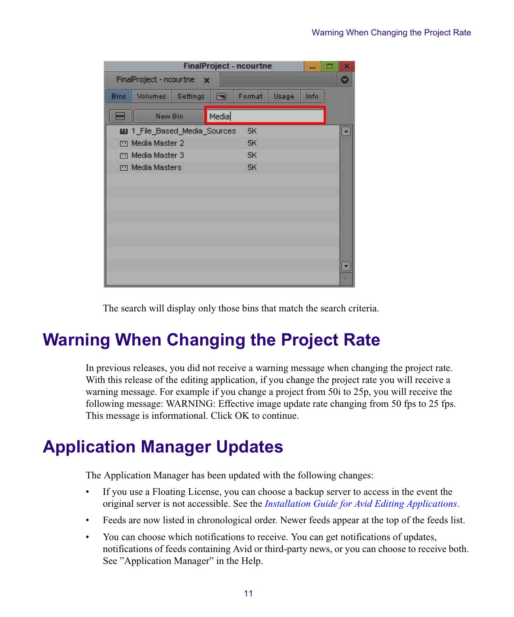

The search will display only those bins that match the search criteria.

## <span id="page-10-0"></span>**Warning When Changing the Project Rate**

In previous releases, you did not receive a warning message when changing the project rate. With this release of the editing application, if you change the project rate you will receive a warning message. For example if you change a project from 50i to 25p, you will receive the following message: WARNING: Effective image update rate changing from 50 fps to 25 fps. This message is informational. Click OK to continue.

## <span id="page-10-1"></span>**Application Manager Updates**

The Application Manager has been updated with the following changes:

- If you use a Floating License, you can choose a backup server to access in the event the original server is not accessible. See the *[Installation Guide for Avid Editing Applications](http://avid.force.com/pkb/articles/en_US/readme/Media-Composer-Software-8-0-Documentation)*.
- Feeds are now listed in chronological order. Newer feeds appear at the top of the feeds list.
- You can choose which notifications to receive. You can get notifications of updates, notifications of feeds containing Avid or third-party news, or you can choose to receive both. See "Application Manager" in the Help.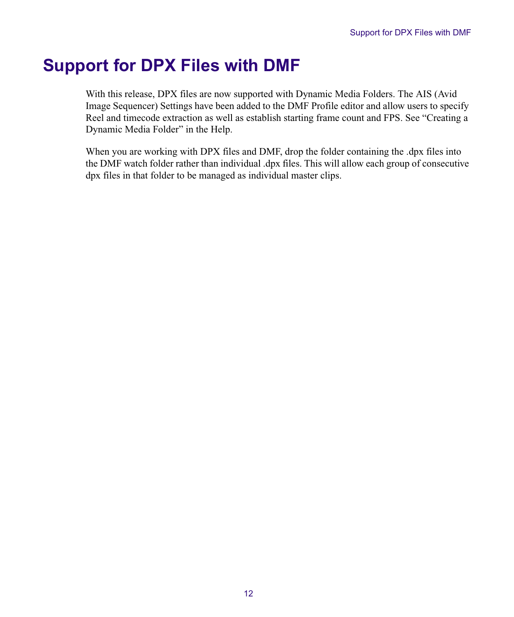## <span id="page-11-0"></span>**Support for DPX Files with DMF**

With this release, DPX files are now supported with Dynamic Media Folders. The AIS (Avid Image Sequencer) Settings have been added to the DMF Profile editor and allow users to specify Reel and timecode extraction as well as establish starting frame count and FPS. See "Creating a Dynamic Media Folder" in the Help.

When you are working with DPX files and DMF, drop the folder containing the .dpx files into the DMF watch folder rather than individual .dpx files. This will allow each group of consecutive dpx files in that folder to be managed as individual master clips.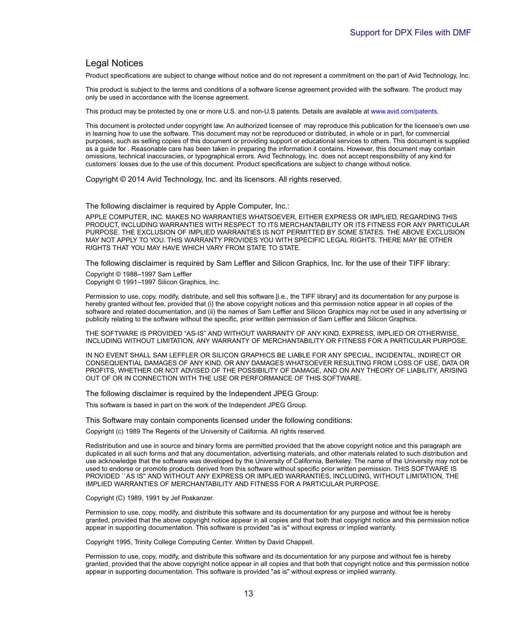### Legal Notices

Product specifications are subject to change without notice and do not represent a commitment on the part of Avid Technology, Inc.

This product is subject to the terms and conditions of a software license agreement provided with the software. The product may only be used in accordance with the license agreement.

This product may be protected by one or more U.S. and non-U.S patents. Details are available at [www.avid.com/patents](http://www.avid.com/US/about-avid/legal-notices/patent-marking).

This document is protected under copyright law. An authorized licensee of may reproduce this publication for the licensee's own use in learning how to use the software. This document may not be reproduced or distributed, in whole or in part, for commercial purposes, such as selling copies of this document or providing support or educational services to others. This document is supplied as a guide for . Reasonable care has been taken in preparing the information it contains. However, this document may contain omissions, technical inaccuracies, or typographical errors. Avid Technology, Inc. does not accept responsibility of any kind for customers' losses due to the use of this document. Product specifications are subject to change without notice.

Copyright © 2014 Avid Technology, Inc. and its licensors. All rights reserved.

The following disclaimer is required by Apple Computer, Inc.:

APPLE COMPUTER, INC. MAKES NO WARRANTIES WHATSOEVER, EITHER EXPRESS OR IMPLIED, REGARDING THIS PRODUCT, INCLUDING WARRANTIES WITH RESPECT TO ITS MERCHANTABILITY OR ITS FITNESS FOR ANY PARTICULAR PURPOSE. THE EXCLUSION OF IMPLIED WARRANTIES IS NOT PERMITTED BY SOME STATES. THE ABOVE EXCLUSION MAY NOT APPLY TO YOU. THIS WARRANTY PROVIDES YOU WITH SPECIFIC LEGAL RIGHTS. THERE MAY BE OTHER RIGHTS THAT YOU MAY HAVE WHICH VARY FROM STATE TO STATE.

The following disclaimer is required by Sam Leffler and Silicon Graphics, Inc. for the use of their TIFF library:

Copyright © 1988–1997 Sam Leffler Copyright © 1991–1997 Silicon Graphics, Inc.

Permission to use, copy, modify, distribute, and sell this software [i.e., the TIFF library] and its documentation for any purpose is hereby granted without fee, provided that (i) the above copyright notices and this permission notice appear in all copies of the software and related documentation, and (ii) the names of Sam Leffler and Silicon Graphics may not be used in any advertising or publicity relating to the software without the specific, prior written permission of Sam Leffler and Silicon Graphics.

THE SOFTWARE IS PROVIDED "AS-IS" AND WITHOUT WARRANTY OF ANY KIND, EXPRESS, IMPLIED OR OTHERWISE, INCLUDING WITHOUT LIMITATION, ANY WARRANTY OF MERCHANTABILITY OR FITNESS FOR A PARTICULAR PURPOSE.

IN NO EVENT SHALL SAM LEFFLER OR SILICON GRAPHICS BE LIABLE FOR ANY SPECIAL, INCIDENTAL, INDIRECT OR CONSEQUENTIAL DAMAGES OF ANY KIND, OR ANY DAMAGES WHATSOEVER RESULTING FROM LOSS OF USE, DATA OR PROFITS, WHETHER OR NOT ADVISED OF THE POSSIBILITY OF DAMAGE, AND ON ANY THEORY OF LIABILITY, ARISING OUT OF OR IN CONNECTION WITH THE USE OR PERFORMANCE OF THIS SOFTWARE.

The following disclaimer is required by the Independent JPEG Group:

This software is based in part on the work of the Independent JPEG Group.

This Software may contain components licensed under the following conditions:

Copyright (c) 1989 The Regents of the University of California. All rights reserved.

Redistribution and use in source and binary forms are permitted provided that the above copyright notice and this paragraph are duplicated in all such forms and that any documentation, advertising materials, and other materials related to such distribution and use acknowledge that the software was developed by the University of California, Berkeley. The name of the University may not be used to endorse or promote products derived from this software without specific prior written permission. THIS SOFTWARE IS PROVIDED ``AS IS'' AND WITHOUT ANY EXPRESS OR IMPLIED WARRANTIES, INCLUDING, WITHOUT LIMITATION, THE IMPLIED WARRANTIES OF MERCHANTABILITY AND FITNESS FOR A PARTICULAR PURPOSE.

Copyright (C) 1989, 1991 by Jef Poskanzer.

Permission to use, copy, modify, and distribute this software and its documentation for any purpose and without fee is hereby granted, provided that the above copyright notice appear in all copies and that both that copyright notice and this permission notice appear in supporting documentation. This software is provided "as is" without express or implied warranty.

Copyright 1995, Trinity College Computing Center. Written by David Chappell.

Permission to use, copy, modify, and distribute this software and its documentation for any purpose and without fee is hereby granted, provided that the above copyright notice appear in all copies and that both that copyright notice and this permission notice appear in supporting documentation. This software is provided "as is" without express or implied warranty.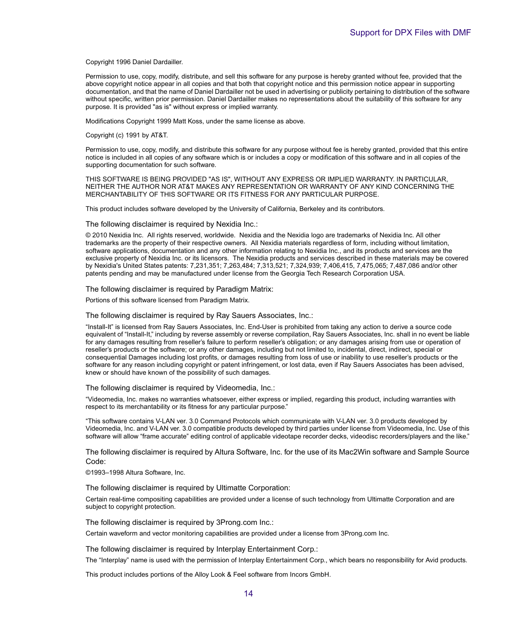Copyright 1996 Daniel Dardailler.

Permission to use, copy, modify, distribute, and sell this software for any purpose is hereby granted without fee, provided that the above copyright notice appear in all copies and that both that copyright notice and this permission notice appear in supporting documentation, and that the name of Daniel Dardailler not be used in advertising or publicity pertaining to distribution of the software without specific, written prior permission. Daniel Dardailler makes no representations about the suitability of this software for any purpose. It is provided "as is" without express or implied warranty.

Modifications Copyright 1999 Matt Koss, under the same license as above.

Copyright (c) 1991 by AT&T.

Permission to use, copy, modify, and distribute this software for any purpose without fee is hereby granted, provided that this entire notice is included in all copies of any software which is or includes a copy or modification of this software and in all copies of the supporting documentation for such software.

THIS SOFTWARE IS BEING PROVIDED "AS IS", WITHOUT ANY EXPRESS OR IMPLIED WARRANTY. IN PARTICULAR, NEITHER THE AUTHOR NOR AT&T MAKES ANY REPRESENTATION OR WARRANTY OF ANY KIND CONCERNING THE MERCHANTABILITY OF THIS SOFTWARE OR ITS FITNESS FOR ANY PARTICULAR PURPOSE.

This product includes software developed by the University of California, Berkeley and its contributors.

The following disclaimer is required by Nexidia Inc.:

© 2010 Nexidia Inc. All rights reserved, worldwide. Nexidia and the Nexidia logo are trademarks of Nexidia Inc. All other trademarks are the property of their respective owners. All Nexidia materials regardless of form, including without limitation, software applications, documentation and any other information relating to Nexidia Inc., and its products and services are the exclusive property of Nexidia Inc. or its licensors. The Nexidia products and services described in these materials may be covered by Nexidia's United States patents: 7,231,351; 7,263,484; 7,313,521; 7,324,939; 7,406,415, 7,475,065; 7,487,086 and/or other patents pending and may be manufactured under license from the Georgia Tech Research Corporation USA.

The following disclaimer is required by Paradigm Matrix:

Portions of this software licensed from Paradigm Matrix.

The following disclaimer is required by Ray Sauers Associates, Inc.:

"Install-It" is licensed from Ray Sauers Associates, Inc. End-User is prohibited from taking any action to derive a source code equivalent of "Install-It," including by reverse assembly or reverse compilation, Ray Sauers Associates, Inc. shall in no event be liable for any damages resulting from reseller's failure to perform reseller's obligation; or any damages arising from use or operation of reseller's products or the software; or any other damages, including but not limited to, incidental, direct, indirect, special or consequential Damages including lost profits, or damages resulting from loss of use or inability to use reseller's products or the software for any reason including copyright or patent infringement, or lost data, even if Ray Sauers Associates has been advised, knew or should have known of the possibility of such damages.

The following disclaimer is required by Videomedia, Inc.:

"Videomedia, Inc. makes no warranties whatsoever, either express or implied, regarding this product, including warranties with respect to its merchantability or its fitness for any particular purpose."

"This software contains V-LAN ver. 3.0 Command Protocols which communicate with V-LAN ver. 3.0 products developed by Videomedia, Inc. and V-LAN ver. 3.0 compatible products developed by third parties under license from Videomedia, Inc. Use of this software will allow "frame accurate" editing control of applicable videotape recorder decks, videodisc recorders/players and the like."

The following disclaimer is required by Altura Software, Inc. for the use of its Mac2Win software and Sample Source Code:

©1993–1998 Altura Software, Inc.

The following disclaimer is required by Ultimatte Corporation:

Certain real-time compositing capabilities are provided under a license of such technology from Ultimatte Corporation and are subject to copyright protection.

The following disclaimer is required by 3Prong.com Inc.:

Certain waveform and vector monitoring capabilities are provided under a license from 3Prong.com Inc.

The following disclaimer is required by Interplay Entertainment Corp.:

The "Interplay" name is used with the permission of Interplay Entertainment Corp., which bears no responsibility for Avid products.

This product includes portions of the Alloy Look & Feel software from Incors GmbH.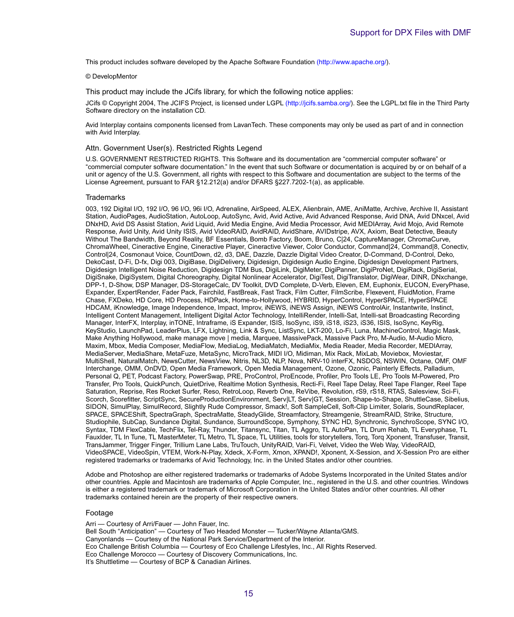This product includes software developed by the Apache Software Foundation [\(http://www.apache.org/\)](http://www.apache.org/).

### © DevelopMentor

This product may include the JCifs library, for which the following notice applies:

JCifs © Copyright 2004, The JCIFS Project, is licensed under LGP[L \(http://jcifs.samba.org/\)](http://jcifs.samba.org/). See the LGPL.txt file in the Third Party Software directory on the installation CD.

Avid Interplay contains components licensed from LavanTech. These components may only be used as part of and in connection with Avid Interplay.

### Attn. Government User(s). Restricted Rights Legend

U.S. GOVERNMENT RESTRICTED RIGHTS. This Software and its documentation are "commercial computer software" or "commercial computer software documentation." In the event that such Software or documentation is acquired by or on behalf of a unit or agency of the U.S. Government, all rights with respect to this Software and documentation are subject to the terms of the License Agreement, pursuant to FAR §12.212(a) and/or DFARS §227.7202-1(a), as applicable.

### **Trademarks**

003, 192 Digital I/O, 192 I/O, 96 I/O, 96i I/O, Adrenaline, AirSpeed, ALEX, Alienbrain, AME, AniMatte, Archive, Archive II, Assistant Station, AudioPages, AudioStation, AutoLoop, AutoSync, Avid, Avid Active, Avid Advanced Response, Avid DNA, Avid DNxcel, Avid DNxHD, Avid DS Assist Station, Avid Liquid, Avid Media Engine, Avid Media Processor, Avid MEDIArray, Avid Mojo, Avid Remote Response, Avid Unity, Avid Unity ISIS, Avid VideoRAID, AvidRAID, AvidShare, AVIDstripe, AVX, Axiom, Beat Detective, Beauty Without The Bandwidth, Beyond Reality, BF Essentials, Bomb Factory, Boom, Bruno, C|24, CaptureManager, ChromaCurve, ChromaWheel, Cineractive Engine, Cineractive Player, Cineractive Viewer, Color Conductor, Command|24, Command|8, Conectiv, Control|24, Cosmonaut Voice, CountDown, d2, d3, DAE, Dazzle, Dazzle Digital Video Creator, D-Command, D-Control, Deko, DekoCast, D-Fi, D-fx, Digi 003, DigiBase, DigiDelivery, Digidesign, Digidesign Audio Engine, Digidesign Development Partners, Digidesign Intelligent Noise Reduction, Digidesign TDM Bus, DigiLink, DigiMeter, DigiPanner, DigiProNet, DigiRack, DigiSerial, DigiSnake, DigiSystem, Digital Choreography, Digital Nonlinear Accelerator, DigiTest, DigiTranslator, DigiWear, DINR, DNxchange, DPP-1, D-Show, DSP Manager, DS-StorageCalc, DV Toolkit, DVD Complete, D-Verb, Eleven, EM, Euphonix, EUCON, EveryPhase, Expander, ExpertRender, Fader Pack, Fairchild, FastBreak, Fast Track, Film Cutter, FilmScribe, Flexevent, FluidMotion, Frame Chase, FXDeko, HD Core, HD Process, HDPack, Home-to-Hollywood, HYBRID, HyperControl, HyperSPACE, HyperSPACE HDCAM, iKnowledge, Image Independence, Impact, Improv, iNEWS, iNEWS Assign, iNEWS ControlAir, Instantwrite, Instinct, Intelligent Content Management, Intelligent Digital Actor Technology, IntelliRender, Intelli-Sat, Intelli-sat Broadcasting Recording Manager, InterFX, Interplay, inTONE, Intraframe, iS Expander, ISIS, IsoSync, iS9, iS18, iS23, iS36, ISIS, IsoSync, KeyRig, KeyStudio, LaunchPad, LeaderPlus, LFX, Lightning, Link & Sync, ListSync, LKT-200, Lo-Fi, Luna, MachineControl, Magic Mask, Make Anything Hollywood, make manage move | media, Marquee, MassivePack, Massive Pack Pro, M-Audio, M-Audio Micro, Maxim, Mbox, Media Composer, MediaFlow, MediaLog, MediaMatch, MediaMix, Media Reader, Media Recorder, MEDIArray, MediaServer, MediaShare, MetaFuze, MetaSync, MicroTrack, MIDI I/O, Midiman, Mix Rack, MixLab, Moviebox, Moviestar, MultiShell, NaturalMatch, NewsCutter, NewsView, Nitris, NL3D, NLP, Nova, NRV-10 interFX, NSDOS, NSWIN, Octane, OMF, OMF Interchange, OMM, OnDVD, Open Media Framework, Open Media Management, Ozone, Ozonic, Painterly Effects, Palladium, Personal Q, PET, Podcast Factory, PowerSwap, PRE, ProControl, ProEncode, Profiler, Pro Tools LE, Pro Tools M-Powered, Pro Transfer, Pro Tools, QuickPunch, QuietDrive, Realtime Motion Synthesis, Recti-Fi, Reel Tape Delay, Reel Tape Flanger, Reel Tape Saturation, Reprise, Res Rocket Surfer, Reso, RetroLoop, Reverb One, ReVibe, Revolution, rS9, rS18, RTAS, Salesview, Sci-Fi, Scorch, Scorefitter, ScriptSync, SecureProductionEnvironment, Serv|LT, Serv|GT, Session, Shape-to-Shape, ShuttleCase, Sibelius, SIDON, SimulPlay, SimulRecord, Slightly Rude Compressor, Smack!, Soft SampleCell, Soft-Clip Limiter, Solaris, SoundReplacer, SPACE, SPACEShift, SpectraGraph, SpectraMatte, SteadyGlide, Streamfactory, Streamgenie, StreamRAID, Strike, Structure, Studiophile, SubCap, Sundance Digital, Sundance, SurroundScope, Symphony, SYNC HD, Synchronic, SynchroScope, SYNC I/O, Syntax, TDM FlexCable, TechFlix, Tel-Ray, Thunder, Titansync, Titan, TL Aggro, TL AutoPan, TL Drum Rehab, TL Everyphase, TL Fauxlder, TL In Tune, TL MasterMeter, TL Metro, TL Space, TL Utilities, tools for storytellers, Torq, Torq Xponent, Transfuser, Transit, TransJammer, Trigger Finger, Trillium Lane Labs, TruTouch, UnityRAID, Vari-Fi, Velvet, Video the Web Way, VideoRAID, VideoSPACE, VideoSpin, VTEM, Work-N-Play, Xdeck, X-Form, Xmon, XPAND!, Xponent, X-Session, and X-Session Pro are either registered trademarks or trademarks of Avid Technology, Inc. in the United States and/or other countries.

Adobe and Photoshop are either registered trademarks or trademarks of Adobe Systems Incorporated in the United States and/or other countries. Apple and Macintosh are trademarks of Apple Computer, Inc., registered in the U.S. and other countries. Windows is either a registered trademark or trademark of Microsoft Corporation in the United States and/or other countries. All other trademarks contained herein are the property of their respective owners.

#### Footage

Arri — Courtesy of Arri/Fauer — John Fauer, Inc. Bell South "Anticipation" — Courtesy of Two Headed Monster — Tucker/Wayne Atlanta/GMS. Canyonlands — Courtesy of the National Park Service/Department of the Interior. Eco Challenge British Columbia — Courtesy of Eco Challenge Lifestyles, Inc., All Rights Reserved. Eco Challenge Morocco — Courtesy of Discovery Communications, Inc. It's Shuttletime — Courtesy of BCP & Canadian Airlines.